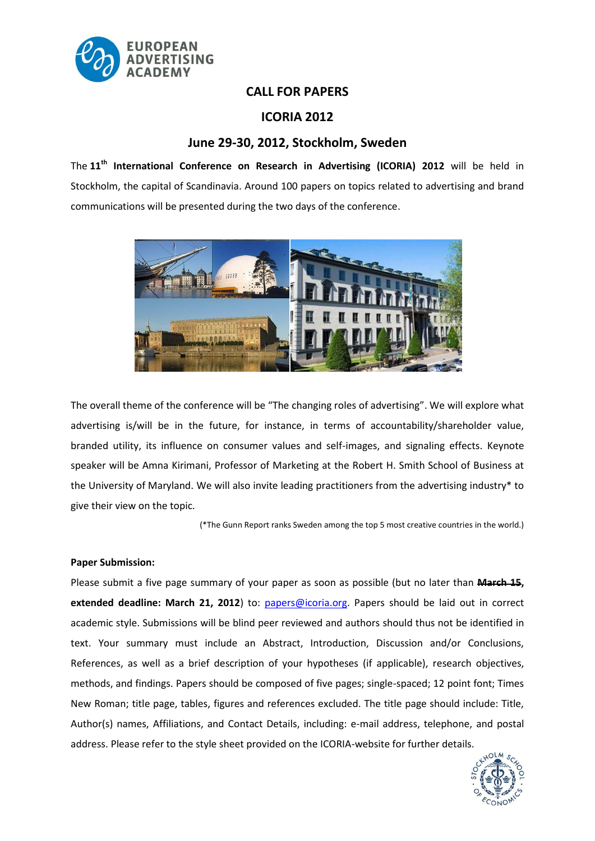

## **CALL FOR PAPERS**

# **ICORIA 2012**

## **June 29-30, 2012, Stockholm, Sweden**

The **11th International Conference on Research in Advertising (ICORIA) 2012** will be held in Stockholm, the capital of Scandinavia. Around 100 papers on topics related to advertising and brand communications will be presented during the two days of the conference.



The overall theme of the conference will be "The changing roles of advertising". We will explore what advertising is/will be in the future, for instance, in terms of accountability/shareholder value, branded utility, its influence on consumer values and self-images, and signaling effects. Keynote speaker will be Amna Kirimani, Professor of Marketing at the Robert H. Smith School of Business at the University of Maryland. We will also invite leading practitioners from the advertising industry\* to give their view on the topic.

(\*The Gunn Report ranks Sweden among the top 5 most creative countries in the world.)

## **Paper Submission:**

Please submit a five page summary of your paper as soon as possible (but no later than **March 15, extended deadline: March 21, 2012**) to: [papers@icoria.org.](mailto:papers@icoria.org) Papers should be laid out in correct academic style. Submissions will be blind peer reviewed and authors should thus not be identified in text. Your summary must include an Abstract, Introduction, Discussion and/or Conclusions, References, as well as a brief description of your hypotheses (if applicable), research objectives, methods, and findings. Papers should be composed of five pages; single-spaced; 12 point font; Times New Roman; title page, tables, figures and references excluded. The title page should include: Title, Author(s) names, Affiliations, and Contact Details, including: e-mail address, telephone, and postal address. Please refer to the style sheet provided on the ICORIA-website for further details.

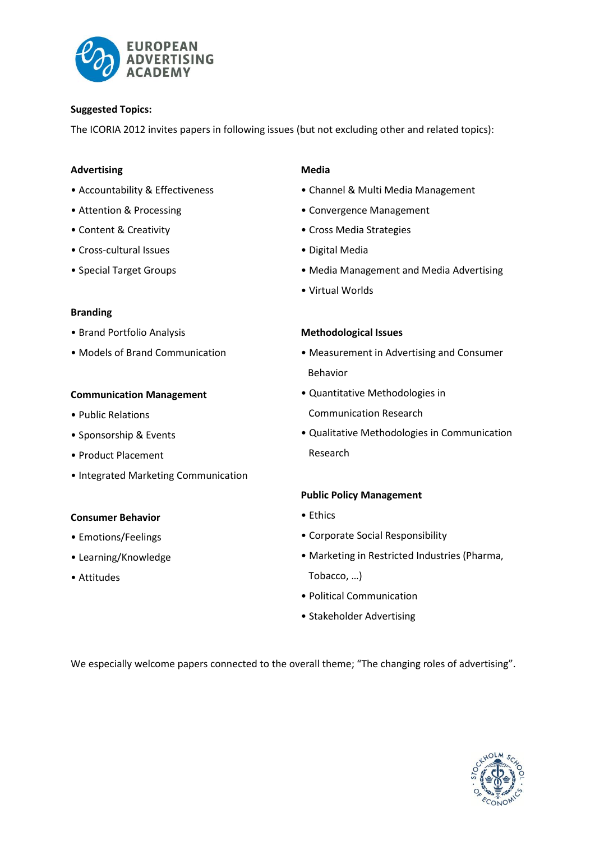

### **Suggested Topics:**

The ICORIA 2012 invites papers in following issues (but not excluding other and related topics):

### **Advertising**

- Accountability & Effectiveness
- Attention & Processing
- Content & Creativity
- Cross-cultural Issues
- Special Target Groups

#### **Branding**

- Brand Portfolio Analysis
- Models of Brand Communication

### **Communication Management**

- Public Relations
- Sponsorship & Events
- Product Placement
- Integrated Marketing Communication

## **Consumer Behavior**

- Emotions/Feelings
- Learning/Knowledge
- Attitudes

### **Media**

- Channel & Multi Media Management
- Convergence Management
- Cross Media Strategies
- Digital Media
- Media Management and Media Advertising
- Virtual Worlds

#### **Methodological Issues**

- Measurement in Advertising and Consumer Behavior
- Quantitative Methodologies in Communication Research
- Qualitative Methodologies in Communication Research

## **Public Policy Management**

- Ethics
- Corporate Social Responsibility
- Marketing in Restricted Industries (Pharma,

Tobacco, …)

- Political Communication
- Stakeholder Advertising

We especially welcome papers connected to the overall theme; "The changing roles of advertising".